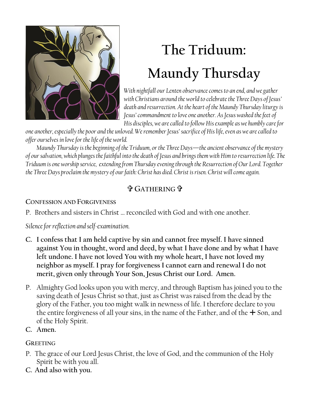

# **The Triduum: Maundy Thursday**

*With nightfall our Lenten observance comes to an end, and we gather with Christians around the world to celebrate the Three Days of Jesus' death and resurrection. At the heart of the Maundy Thursday liturgy is Jesus'commandment to love one another. As Jesus washed the feet of His disciples, we are called to follow Hisexample as we humbly care for* 

*one another, especially the poor and the unloved. We remember Jesus' sacrifice of His life, even as we are called to offer ourselves in love for the life of the world.* 

*Maundy Thursday is the beginning of the Triduum, or the Three Days—the ancient observance of the mystery of our salvation, which plunges the faithful into the death of Jesus and brings them with Him to resurrection life. The Triduum is one worship service, extending from Thursday evening through the Resurrection of Our Lord. Together the Three Days proclaim the mystery of our faith: Christ has died. Christ is risen. Christ will come again.*

# **GATHERING**

## **CONFESSION AND FORGIVENESS**

P. Brothers and sisters in Christ … reconciled with God and with one another.

*Silence for reflection and self-examination.*

- **C. I confess that I am held captive by sin and cannot free myself. I have sinned against You in thought, word and deed, by what I have done and by what I have left undone. I have not loved You with my whole heart, I have not loved my neighbor as myself. I pray for forgiveness I cannot earn and renewal I do not merit, given only through Your Son, Jesus Christ our Lord. Amen.**
- P. Almighty God looks upon you with mercy, and through Baptism has joined you to the saving death of Jesus Christ so that, just as Christ was raised from the dead by the glory of the Father, you too might walk in newness of life. I therefore declare to you the entire forgiveness of all your sins, in the name of the Father, and of the  $+$  Son, and of the Holy Spirit.
- **C. Amen.**

## **GREETING**

- P. The grace of our Lord Jesus Christ, the love of God, and the communion of the Holy Spirit be with you all.
- **C. And also with you.**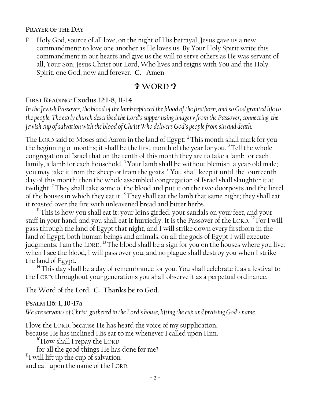#### **PRAYER OF THE DAY**

P. Holy God, source of all love, on the night of His betrayal, Jesus gave us a new commandment: to love one another as He loves us. By Your Holy Spirit write this commandment in our hearts and give us the will to serve others as He was servant of all, Your Son, Jesus Christ our Lord, Who lives and reigns with You and the Holy Spirit, one God, now and forever. **C. Amen**

## **WORD**

## **FIRST READING: Exodus 12:1-8, 11-14**

*In the Jewish Passover, the blood of the lamb replaced the blood of the firstborn, and so God granted life to the people. The early church described the Lord's supper using imagery from the Passover, connecting the Jewish cup of salvation with the blood of Christ Who delivers God's people from sin and death.*

The LORD said to Moses and Aaron in the land of Egypt: <sup>2</sup> This month shall mark for you the beginning of months; it shall be the first month of the year for you.<sup>3</sup> Tell the whole congregation of Israel that on the tenth of this month they are to take a lamb for each family, a lamb for each household.  $5$  Your lamb shall be without blemish, a year-old male; you may take it from the sheep or from the goats. <sup>6</sup>You shall keep it until the fourteenth day of this month; then the whole assembled congregation of Israel shall slaughter it at twilight.<sup>7</sup> They shall take some of the blood and put it on the two doorposts and the lintel of the houses in which they eat it. <sup>8</sup>They shall eat the lamb that same night; they shall eat it roasted over the fire with unleavened bread and bitter herbs.

 $11$ This is how you shall eat it: your loins girded, your sandals on your feet, and your staff in your hand; and you shall eat it hurriedly. It is the Passover of the LORD. <sup>12</sup> For I will pass through the land of Egypt that night, and I will strike down every firstborn in the land of Egypt, both human beings and animals; on all the gods of Egypt I will execute judgments: I am the LORD. <sup>13</sup> The blood shall be a sign for you on the houses where you live: when I see the blood, I will pass over you, and no plague shall destroy you when I strike the land of Egypt.

 $14$  This day shall be a day of remembrance for you. You shall celebrate it as a festival to the LORD; throughout your generations you shall observe it as a perpetual ordinance.

The Word of the Lord. **C. Thanks be to God.**

#### **PSALM 116: 1, 10-17a**

*We are servants of Christ, gathered in the Lord's house, lifting the cup and praising God's name.*

I love the LORD, because He has heard the voice of my supplication, because He has inclined His ear to me whenever I called upon Him.

<sup>10</sup>How shall I repay the LORD

for all the good things He has done for me?

<sup>11</sup>I will lift up the cup of salvation

and call upon the name of the LORD.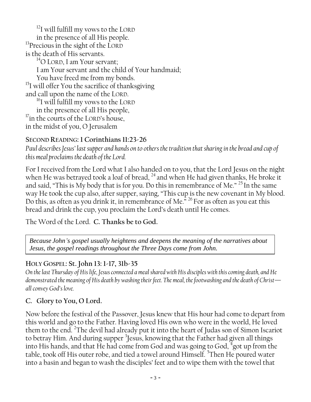$12$ I will fulfill my vows to the LORD in the presence of all His people. <sup>13</sup>Precious in the sight of the LORD is the death of His servants.  $14^1$ O LORD, I am Your servant: I am Your servant and the child of Your handmaid; You have freed me from my bonds. <sup>15</sup>I will offer You the sacrifice of thanksgiving and call upon the name of the LORD.  $^{16}$ I will fulfill my vows to the LORD in the presence of all His people, <sup>17</sup>in the courts of the LORD's house, in the midst of you, O Jerusalem

## **SECOND READING: 1 Corinthians 11:23-26**

*Paul describes Jesus' last supper and hands on to others the tradition that sharing in the bread and cup of this meal proclaims the death of the Lord.*

For I received from the Lord what I also handed on to you, that the Lord Jesus on the night when He was betrayed took a loaf of bread, <sup>24</sup> and when He had given thanks, He broke it and said, "This is My body that is for you. Do this in remembrance of Me."  $^{25}$  In the same way He took the cup also, after supper, saying, "This cup is the new covenant in My blood. Do this, as often as you drink it, in remembrance of Me.<sup> $\frac{1}{n}$  26</sup> For as often as you eat this bread and drink the cup, you proclaim the Lord's death until He comes.

The Word of the Lord. **C. Thanks be to God.**

*Because John's gospel usually heightens and deepens the meaning of the narratives about Jesus, the gospel readings throughout the Three Days come from John.*

## **HOLY GOSPEL: St. John 13: 1-17, 31b-35**

*On the last Thursday of His life, Jesus connected a meal shared with His disciples with this coming death, and He demonstrated the meaning of His death by washing their feet. The meal, the footwashing and the death of Christ all convey God's love.* 

## **C. Glory to You, O Lord.**

Now before the festival of the Passover, Jesus knew that His hour had come to depart from this world and go to the Father. Having loved His own who were in the world, He loved them to the end. <sup>2</sup>The devil had already put it into the heart of Judas son of Simon Iscariot to betray Him. And during supper <sup>3</sup>Jesus, knowing that the Father had given all things into His hands, and that He had come from God and was going to God,  $\frac{4}{3}$ got up from the table, took off His outer robe, and tied a towel around Himself. <sup>5</sup>Then He poured water into a basin and began to wash the disciples' feet and to wipe them with the towel that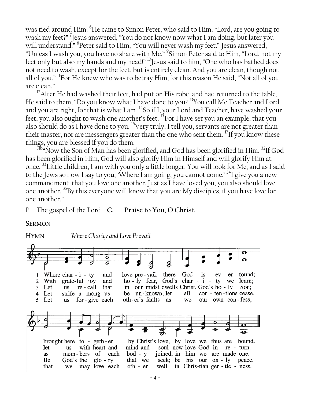was tied around Him. <sup>6</sup>He came to Simon Peter, who said to Him, "Lord, are you going to wash my feet?" 7 Jesus answered, "You do not know now what I am doing, but later you will understand." 8 Peter said to Him, "You will never wash my feet." Jesus answered, "Unless I wash you, you have no share with Me." 9 Simon Peter said to Him, "Lord, not my feet only but also my hands and my head!" <sup>10</sup>Jesus said to him, "One who has bathed does not need to wash, except for the feet, but is entirely clean. And you are clean, though not all of you." <sup>11</sup>For He knew who was to betray Him; for this reason He said, "Not all of you are clean."

<sup>12</sup>After He had washed their feet, had put on His robe, and had returned to the table, He said to them, "Do you know what I have done to you?<sup>13</sup>You call Me Teacher and Lord and you are right, for that is what I am. <sup>14</sup>So if I, your Lord and Teacher, have washed your feet, you also ought to wash one another's feet.  ${}^{15}$ For I have set you an example, that you also should do as I have done to you. <sup>16</sup>Very truly, I tell you, servants are not greater than their master, nor are messengers greater than the one who sent them.  $^{17}$ If you know these things, you are blessed if you do them.

 $31b$ "Now the Son of Man has been glorified, and God has been glorified in Him.  $32$ If God has been glorified in Him, God will also glorify Him in Himself and will glorify Him at once. <sup>33</sup>Little children, I am with you only a little longer. You will look for Me; and as I said to the Jews so now I say to you, 'Where I am going, you cannot come.' <sup>34</sup>I give you a new commandment, that you love one another. Just as I have loved you, you also should love one another. <sup>35</sup>By this everyone will know that you are My disciples, if you have love for one another."

P. The gospel of the Lord. **C. Praise to You, O Christ.**

**SERMON**

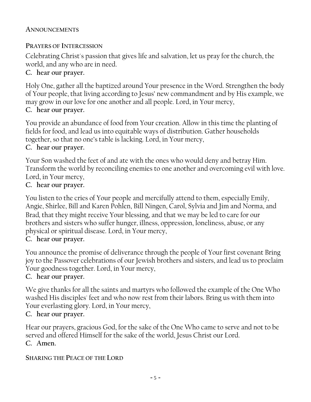#### **ANNOUNCEMENTS**

#### **PRAYERS OF INTERCESSION**

Celebrating Christ's passion that gives life and salvation, let us pray for the church, the world, and any who are in need.

## **C. hear our prayer.**

Holy One, gather all the baptized around Your presence in the Word. Strengthen the body of Your people, that living according to Jesus' new commandment and by His example, we may grow in our love for one another and all people. Lord, in Your mercy, **C. hear our prayer.**

You provide an abundance of food from Your creation. Allow in this time the planting of fields for food, and lead us into equitable ways of distribution. Gather households together, so that no one's table is lacking. Lord, in Your mercy,

#### **C. hear our prayer.**

Your Son washed the feet of and ate with the ones who would deny and betray Him. Transform the world by reconciling enemies to one another and overcoming evil with love. Lord, in Your mercy,

#### **C. hear our prayer.**

You listen to the cries of Your people and mercifully attend to them, especially Emily, Angie, Shirlee, Bill and Karen Pohlen, Bill Ningen, Carol, Sylvia and Jim and Norma, and Brad*,* that they might receive Your blessing, and that we may be led to care for our brothers and sisters who suffer hunger, illness, oppression, loneliness, abuse, or any physical or spiritual disease. Lord, in Your mercy,

#### **C. hear our prayer.**

You announce the promise of deliverance through the people of Your first covenant Bring joy to the Passover celebrations of our Jewish brothers and sisters, and lead us to proclaim Your goodness together. Lord, in Your mercy,

#### **C. hear our prayer.**

We give thanks for all the saints and martyrs who followed the example of the One Who washed His disciples' feet and who now rest from their labors. Bring us with them into Your everlasting glory. Lord, in Your mercy,

#### **C. hear our prayer.**

Hear our prayers, gracious God, for the sake of the One Who came to serve and not to be served and offered Himself for the sake of the world, Jesus Christ our Lord. **C. Amen.** 

#### **SHARING THE PEACE OF THE LORD**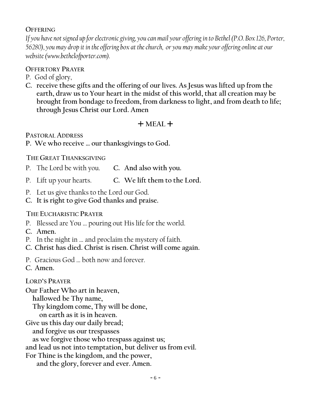#### **OFFERING**

*If you have not signed up for electronic giving, you can mail your offering in to Bethel (P.O. Box 126, Porter, 56280), you may drop it in the offering box at the church, or you may make your offering online at our website (www.bethelofporter.com).*

#### **OFFERTORY PRAYER**

P. God of glory,

**C. receive these gifts and the offering of our lives. As Jesus was lifted up from the earth, draw us to Your heart in the midst of this world, that all creation may be brought from bondage to freedom, from darkness to light, and from death to life; through Jesus Christ our Lord. Amen**

## $+$  MEAL  $+$

**PASTORAL ADDRESS**

**P. We who receive … our thanksgivings to God.**

#### **THE GREAT THANKSGIVING**

- P. The Lord be with you. **C. And also with you.**
- P. Lift up your hearts. **C. We lift them to the Lord.**
- P. Let us give thanks to the Lord our God.
- **C. It is right to give God thanks and praise.**

## **THE EUCHARISTIC PRAYER**

- P. Blessed are You … pouring out His life for the world.
- **C. Amen.**
- P. In the night in … and proclaim the mystery of faith.
- **C. Christ has died. Christ is risen. Christ will come again.**
- P. Gracious God … both now and forever.
- **C. Amen.**

## **LORD'S PRAYER**

**Our Father Who art in heaven, hallowed be Thy name, Thy kingdom come, Thy will be done, on earth as it is in heaven.**

**Give us this day our daily bread;**

**and forgive us our trespasses**

**as we forgive those who trespass against us;**

**and lead us not into temptation, but deliver us from evil.**

**For Thine is the kingdom, and the power,** 

**and the glory, forever and ever. Amen.**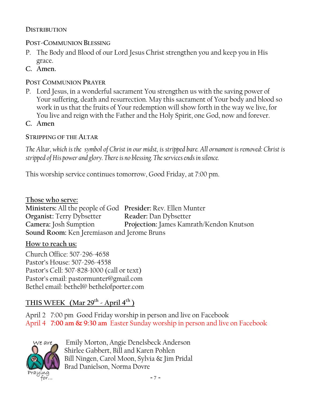### **DISTRIBUTION**

## **POST-COMMUNION BLESSING**

- P. The Body and Blood of our Lord Jesus Christ strengthen you and keep you in His grace.
- **C. Amen.**

## **POST COMMUNION PRAYER**

- P. Lord Jesus, in a wonderful sacrament You strengthen us with the saving power of Your suffering, death and resurrection. May this sacrament of Your body and blood so work in us that the fruits of Your redemption will show forth in the way we live, for You live and reign with the Father and the Holy Spirit, one God, now and forever.
- **C. Amen**

## **STRIPPING OF THE ALTAR**

*The Altar, which is the symbol of Christ in our midst, is stripped bare. All ornament is removed: Christ is stripped of His power and glory. There is no blessing. The services ends in silence.*

This worship service continues tomorrow, Good Friday, at 7:00 pm.

**Those who serve: Ministers:** All the people of God **Presider:** Rev. Ellen Munter **Organist:** Terry Dybsetter **Reader:** Dan Dybsetter **Camera:** Josh Sumption **Projection:** James Kamrath/Kendon Knutson **Sound Room:** Ken Jeremiason and Jerome Bruns

## **How to reach us:**

Church Office: 507-296-4658 Pastor's House: 507-296-4558 Pastor's Cell: 507-828-1000 (call or text) Pastor's email: pastormunter@gmail.com Bethel email: bethel@ bethelofporter.com

## **THIS WEEK (Mar 29th - April 4 th )**

April 2 7:00 pm Good Friday worship in person and live on Facebook April 4 **7:00 am & 9:30 am** Easter Sunday worship in person and live on Facebook



Emily Morton, Angie Denelsbeck Anderson Shirlee Gabbert, Bill and Karen Pohlen Bill Ningen, Carol Moon, Sylvia & Jim Pridal Brad Danielson, Norma Dovre